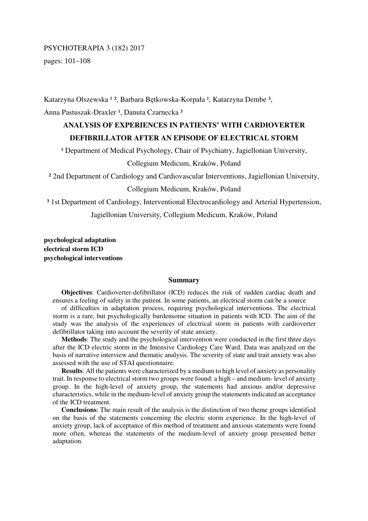# PSYCHOTERAPIA 3 (182) 2017

pages: 101–108

Katarzyna Olszewska <sup>12</sup>, Barbara Bętkowska-Korpała <sup>1</sup>, Katarzyna Dembe <sup>3</sup>, Anna Pastuszak-Draxler<sup>1</sup>, Danuta Czarnecka<sup>3</sup>

# **ANALYSIS OF EXPERIENCES IN PATIENTS' WITH CARDIOVERTER DEFIBRILLATOR AFTER AN EPISODE OF ELECTRICAL STORM**

<sup>1</sup> Department of Medical Psychology, Chair of Psychiatry, Jagiellonian University,

## Collegium Medicum, Kraków, Poland

² 2nd Department of Cardiology and Cardiovascular Interventions, Jagiellonian University,

## Collegium Medicum, Kraków, Poland

<sup>3</sup> 1st Department of Cardiology, Interventional Electrocardiology and Arterial Hypertension,

Jagiellonian University, Collegium Medicum, Kraków, Poland

**psychological adaptation electrical storm ICD psychological interventions** 

## **Summary**

**Objectives**: Cardioverter-defibrillator (ICD) reduces the risk of sudden cardiac death and ensures a feeling of safety in the patient. In some patients, an electrical storm can be a source

of difficulties in adaptation process, requiring psychological interventions. The electrical storm is a rare, but psychologically burdensome situation in patients with ICD. The aim of the study was the analysis of the experiences of electrical storm in patients with cardioverter defibrillator taking into account the severity of state anxiety.

**Methods**: The study and the psychological intervention were conducted in the first three days after the ICD electric storm in the Intensive Cardiology Care Ward. Data was analyzed on the basis of narrative interview and thematic analysis. The severity of state and trait anxiety was also assessed with the use of STAI questionnaire.

**Results**: All the patients were characterized by a medium to high level of anxiety as personality trait. In response to electrical storm two groups were found: a high – and medium- level of anxiety group. In the high-level of anxiety group, the statements had anxious and/or depressive characteristics, while in the medium-level of anxiety group the statements indicated an acceptance of the ICD treatment.

**Conclusions**: The main result of the analysis is the distinction of two theme groups identified on the basis of the statements concerning the electric storm experience. In the high-level of anxiety group, lack of acceptance of this method of treatment and anxious statements were found more often, whereas the statements of the medium-level of anxiety group presented better adaptation.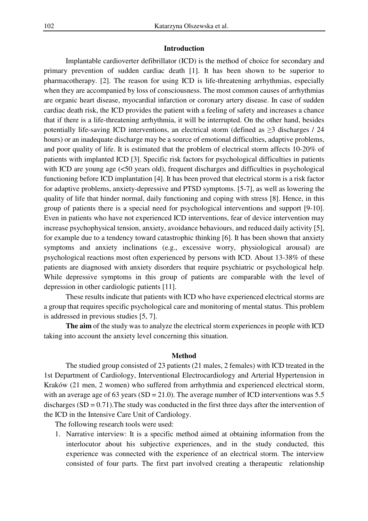#### **Introduction**

Implantable cardioverter defibrillator (ICD) is the method of choice for secondary and primary prevention of sudden cardiac death [1]. It has been shown to be superior to pharmacotherapy. [2]. The reason for using ICD is life-threatening arrhythmias, especially when they are accompanied by loss of consciousness. The most common causes of arrhythmias are organic heart disease, myocardial infarction or coronary artery disease. In case of sudden cardiac death risk, the ICD provides the patient with a feeling of safety and increases a chance that if there is a life-threatening arrhythmia, it will be interrupted. On the other hand, besides potentially life-saving ICD interventions, an electrical storm (defined as  $\geq$ 3 discharges / 24 hours) or an inadequate discharge may be a source of emotional difficulties, adaptive problems, and poor quality of life. It is estimated that the problem of electrical storm affects 10-20% of patients with implanted ICD [3]. Specific risk factors for psychological difficulties in patients with ICD are young age (<50 years old), frequent discharges and difficulties in psychological functioning before ICD implantation [4]. It has been proved that electrical storm is a risk factor for adaptive problems, anxiety-depressive and PTSD symptoms. [5-7], as well as lowering the quality of life that hinder normal, daily functioning and coping with stress [8]. Hence, in this group of patients there is a special need for psychological interventions and support [9-10]. Even in patients who have not experienced ICD interventions, fear of device intervention may increase psychophysical tension, anxiety, avoidance behaviours, and reduced daily activity [5], for example due to a tendency toward catastrophic thinking [6]. It has been shown that anxiety symptoms and anxiety inclinations (e.g., excessive worry, physiological arousal) are psychological reactions most often experienced by persons with ICD. About 13-38% of these patients are diagnosed with anxiety disorders that require psychiatric or psychological help. While depressive symptoms in this group of patients are comparable with the level of depression in other cardiologic patients [11].

These results indicate that patients with ICD who have experienced electrical storms are a group that requires specific psychological care and monitoring of mental status. This problem is addressed in previous studies [5, 7].

**The aim** of the study was to analyze the electrical storm experiences in people with ICD taking into account the anxiety level concerning this situation.

#### **Method**

The studied group consisted of 23 patients (21 males, 2 females) with ICD treated in the 1st Department of Cardiology, Interventional Electrocardiology and Arterial Hypertension in Kraków (21 men, 2 women) who suffered from arrhythmia and experienced electrical storm, with an average age of 63 years (SD = 21.0). The average number of ICD interventions was 5.5 discharges  $(SD = 0.71)$ . The study was conducted in the first three days after the intervention of the ICD in the Intensive Care Unit of Cardiology.

The following research tools were used:

1. Narrative interview: It is a specific method aimed at obtaining information from the interlocutor about his subjective experiences, and in the study conducted, this experience was connected with the experience of an electrical storm. The interview consisted of four parts. The first part involved creating a therapeutic relationship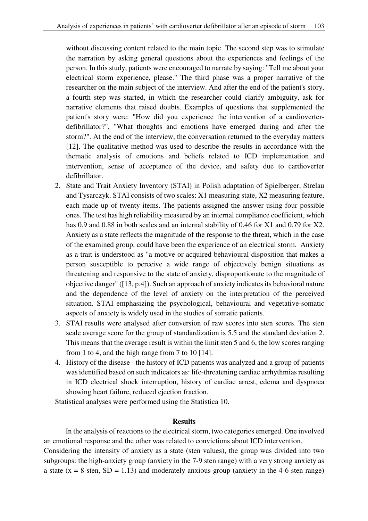without discussing content related to the main topic. The second step was to stimulate the narration by asking general questions about the experiences and feelings of the person. In this study, patients were encouraged to narrate by saying: "Tell me about your electrical storm experience, please." The third phase was a proper narrative of the researcher on the main subject of the interview. And after the end of the patient's story, a fourth step was started, in which the researcher could clarify ambiguity, ask for narrative elements that raised doubts. Examples of questions that supplemented the patient's story were: "How did you experience the intervention of a cardioverterdefibrillator?", "What thoughts and emotions have emerged during and after the storm?". At the end of the interview, the conversation returned to the everyday matters [12]. The qualitative method was used to describe the results in accordance with the thematic analysis of emotions and beliefs related to ICD implementation and intervention, sense of acceptance of the device, and safety due to cardioverter defibrillator.

- 2. State and Trait Anxiety Inventory (STAI) in Polish adaptation of Spielberger, Strelau and Tysarczyk. STAI consists of two scales: X1 measuring state, X2 measuring feature, each made up of twenty items. The patients assigned the answer using four possible ones. The test has high reliability measured by an internal compliance coefficient, which has 0.9 and 0.88 in both scales and an internal stability of 0.46 for X1 and 0.79 for X2. Anxiety as a state reflects the magnitude of the response to the threat, which in the case of the examined group, could have been the experience of an electrical storm. Anxiety as a trait is understood as "a motive or acquired behavioural disposition that makes a person susceptible to perceive a wide range of objectively benign situations as threatening and responsive to the state of anxiety, disproportionate to the magnitude of objective danger" ([13, p.4]). Such an approach of anxiety indicates its behavioral nature and the dependence of the level of anxiety on the interpretation of the perceived situation. STAI emphasizing the psychological, behavioural and vegetative-somatic aspects of anxiety is widely used in the studies of somatic patients.
- 3. STAI results were analysed after conversion of raw scores into sten scores. The sten scale average score for the group of standardization is 5.5 and the standard deviation 2. This means that the average result is within the limit sten 5 and 6, the low scores ranging from 1 to 4, and the high range from 7 to 10 [14].
- 4. History of the disease the history of ICD patients was analyzed and a group of patients was identified based on such indicators as: life-threatening cardiac arrhythmias resulting in ICD electrical shock interruption, history of cardiac arrest, edema and dyspnoea showing heart failure, reduced ejection fraction.

Statistical analyses were performed using the Statistica 10.

## **Results**

In the analysis of reactions to the electrical storm, two categories emerged. One involved an emotional response and the other was related to convictions about ICD intervention.

Considering the intensity of anxiety as a state (sten values), the group was divided into two subgroups: the high-anxiety group (anxiety in the 7-9 sten range) with a very strong anxiety as a state ( $x = 8$  sten,  $SD = 1.13$ ) and moderately anxious group (anxiety in the 4-6 sten range)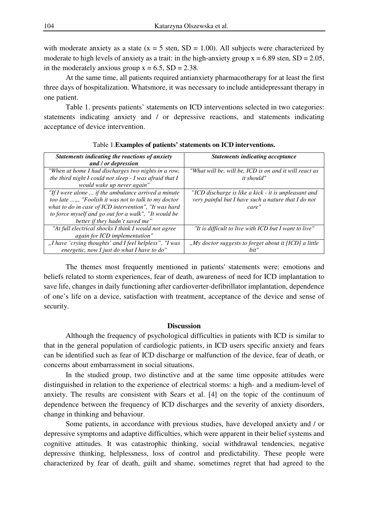with moderate anxiety as a state  $(x = 5$  sten, SD = 1.00). All subjects were characterized by moderate to high levels of anxiety as a trait: in the high-anxiety group  $x = 6.89$  sten,  $SD = 2.05$ , in the moderately anxious group  $x = 6.5$ ,  $SD = 2.38$ .

At the same time, all patients required antianxiety pharmacotherapy for at least the first three days of hospitalization. Whatsmore, it was necessary to include antidepressant therapy in one patient.

Table 1. presents patients' statements on ICD interventions selected in two categories: statements indicating anxiety and / or depressive reactions, and statements indicating acceptance of device intervention.

| Statements indicating the reactions of anxiety<br>and / or depression                                                                                                                                                                                                     | <b>Statements indicating acceptance</b>                                                                              |
|---------------------------------------------------------------------------------------------------------------------------------------------------------------------------------------------------------------------------------------------------------------------------|----------------------------------------------------------------------------------------------------------------------|
| "When at home I had discharges two nights in a row,<br>the third night I could not sleep - I was afraid that I<br>would wake up never again"                                                                                                                              | "What will be, will be, ICD is on and it will react as<br><i>it should"</i>                                          |
| "If I were alone $\ldots$ if the ambulance arrived a minute<br>too late ,,, "Foolish it was not to talk to my doctor"<br>what to do in case of ICD intervention", "It was hard<br>to force myself and go out for a walk", "It would be<br>better if they hadn't saved me" | "ICD discharge is like a kick - it is unpleasant and<br>very painful but I have such a nature that I do not<br>care" |
| "At full electrical shocks I think I would not agree<br>again for ICD implementation"                                                                                                                                                                                     | "It is difficult to live with ICD but I want to live"                                                                |
| "I have 'crying thoughts' and I feel helpless", "I was<br>energetic, now $I$ just do what $I$ have to do"                                                                                                                                                                 | "My doctor suggests to forget about it [ICD] a little<br>hit'                                                        |

Table 1.**Examples of patients' statements on ICD interventions.** 

The themes most frequently mentioned in patients' statements were: emotions and beliefs related to storm experiences, fear of death, awareness of need for ICD implantation to save life, changes in daily functioning after cardioverter-defibrillator implantation, dependence of one's life on a device, satisfaction with treatment, acceptance of the device and sense of security.

## **Discussion**

Although the frequency of psychological difficulties in patients with ICD is similar to that in the general population of cardiologic patients, in ICD users specific anxiety and fears can be identified such as fear of ICD discharge or malfunction of the device, fear of death, or concerns about embarrassment in social situations.

In the studied group, two distinctive and at the same time opposite attitudes were distinguished in relation to the experience of electrical storms: a high- and a medium-level of anxiety. The results are consistent with Sears et al. [4] on the topic of the continuum of dependence between the frequency of ICD discharges and the severity of anxiety disorders, change in thinking and behaviour.

Some patients, in accordance with previous studies, have developed anxiety and / or depressive symptoms and adaptive difficulties, which were apparent in their belief systems and cognitive attitudes. It was catastrophic thinking, social withdrawal tendencies, negative depressive thinking, helplessness, loss of control and predictability. These people were characterized by fear of death, guilt and shame, sometimes regret that had agreed to the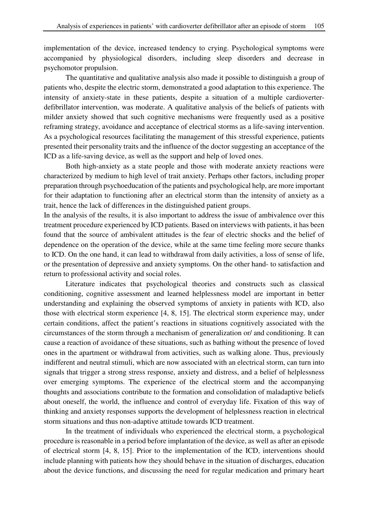implementation of the device, increased tendency to crying. Psychological symptoms were accompanied by physiological disorders, including sleep disorders and decrease in psychomotor propulsion.

The quantitative and qualitative analysis also made it possible to distinguish a group of patients who, despite the electric storm, demonstrated a good adaptation to this experience. The intensity of anxiety-state in these patients, despite a situation of a multiple cardioverterdefibrillator intervention, was moderate. A qualitative analysis of the beliefs of patients with milder anxiety showed that such cognitive mechanisms were frequently used as a positive reframing strategy, avoidance and acceptance of electrical storms as a life-saving intervention. As a psychological resources facilitating the management of this stressful experience, patients presented their personality traits and the influence of the doctor suggesting an acceptance of the ICD as a life-saving device, as well as the support and help of loved ones.

Both high-anxiety as a state people and those with moderate anxiety reactions were characterized by medium to high level of trait anxiety. Perhaps other factors, including proper preparation through psychoeducation of the patients and psychological help, are more important for their adaptation to functioning after an electrical storm than the intensity of anxiety as a trait, hence the lack of differences in the distinguished patient groups.

In the analysis of the results, it is also important to address the issue of ambivalence over this treatment procedure experienced by ICD patients. Based on interviews with patients, it has been found that the source of ambivalent attitudes is the fear of electric shocks and the belief of dependence on the operation of the device, while at the same time feeling more secure thanks to ICD. On the one hand, it can lead to withdrawal from daily activities, a loss of sense of life, or the presentation of depressive and anxiety symptoms. On the other hand- to satisfaction and return to professional activity and social roles.

Literature indicates that psychological theories and constructs such as classical conditioning, cognitive assessment and learned helplessness model are important in better understanding and explaining the observed symptoms of anxiety in patients with ICD, also those with electrical storm experience [4, 8, 15]. The electrical storm experience may, under certain conditions, affect the patient's reactions in situations cognitively associated with the circumstances of the storm through a mechanism of generalization or/ and conditioning. It can cause a reaction of avoidance of these situations, such as bathing without the presence of loved ones in the apartment or withdrawal from activities, such as walking alone. Thus, previously indifferent and neutral stimuli, which are now associated with an electrical storm, can turn into signals that trigger a strong stress response, anxiety and distress, and a belief of helplessness over emerging symptoms. The experience of the electrical storm and the accompanying thoughts and associations contribute to the formation and consolidation of maladaptive beliefs about oneself, the world, the influence and control of everyday life. Fixation of this way of thinking and anxiety responses supports the development of helplessness reaction in electrical storm situations and thus non-adaptive attitude towards ICD treatment.

In the treatment of individuals who experienced the electrical storm, a psychological procedure is reasonable in a period before implantation of the device, as well as after an episode of electrical storm [4, 8, 15]. Prior to the implementation of the ICD, interventions should include planning with patients how they should behave in the situation of discharges, education about the device functions, and discussing the need for regular medication and primary heart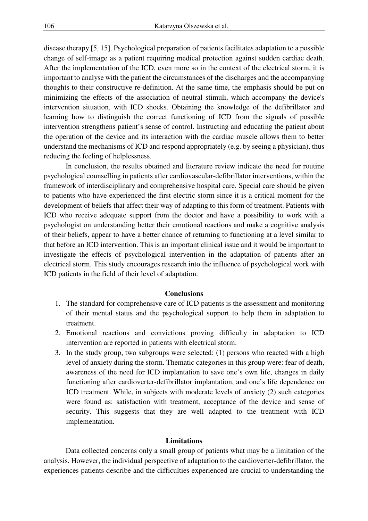disease therapy [5, 15]. Psychological preparation of patients facilitates adaptation to a possible change of self-image as a patient requiring medical protection against sudden cardiac death. After the implementation of the ICD, even more so in the context of the electrical storm, it is important to analyse with the patient the circumstances of the discharges and the accompanying thoughts to their constructive re-definition. At the same time, the emphasis should be put on minimizing the effects of the association of neutral stimuli, which accompany the device's intervention situation, with ICD shocks. Obtaining the knowledge of the defibrillator and learning how to distinguish the correct functioning of ICD from the signals of possible intervention strengthens patient's sense of control. Instructing and educating the patient about the operation of the device and its interaction with the cardiac muscle allows them to better understand the mechanisms of ICD and respond appropriately (e.g. by seeing a physician), thus reducing the feeling of helplessness.

In conclusion, the results obtained and literature review indicate the need for routine psychological counselling in patients after cardiovascular-defibrillator interventions, within the framework of interdisciplinary and comprehensive hospital care. Special care should be given to patients who have experienced the first electric storm since it is a critical moment for the development of beliefs that affect their way of adapting to this form of treatment. Patients with ICD who receive adequate support from the doctor and have a possibility to work with a psychologist on understanding better their emotional reactions and make a cognitive analysis of their beliefs, appear to have a better chance of returning to functioning at a level similar to that before an ICD intervention. This is an important clinical issue and it would be important to investigate the effects of psychological intervention in the adaptation of patients after an electrical storm. This study encourages research into the influence of psychological work with ICD patients in the field of their level of adaptation.

## **Conclusions**

- 1. The standard for comprehensive care of ICD patients is the assessment and monitoring of their mental status and the psychological support to help them in adaptation to treatment.
- 2. Emotional reactions and convictions proving difficulty in adaptation to ICD intervention are reported in patients with electrical storm.
- 3. In the study group, two subgroups were selected: (1) persons who reacted with a high level of anxiety during the storm. Thematic categories in this group were: fear of death, awareness of the need for ICD implantation to save one's own life, changes in daily functioning after cardioverter-defibrillator implantation, and one's life dependence on ICD treatment. While, in subjects with moderate levels of anxiety (2) such categories were found as: satisfaction with treatment, acceptance of the device and sense of security. This suggests that they are well adapted to the treatment with ICD implementation.

#### **Limitations**

Data collected concerns only a small group of patients what may be a limitation of the analysis. However, the individual perspective of adaptation to the cardioverter-defibrillator, the experiences patients describe and the difficulties experienced are crucial to understanding the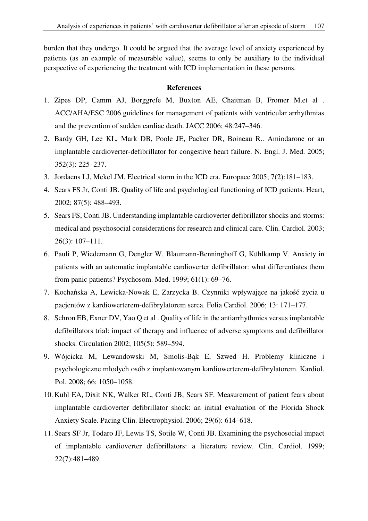burden that they undergo. It could be argued that the average level of anxiety experienced by patients (as an example of measurable value), seems to only be auxiliary to the individual perspective of experiencing the treatment with ICD implementation in these persons.

# **References**

- 1. Zipes DP, Camm AJ, Borggrefe M, Buxton AE, Chaitman B, Fromer M.et al . ACC/AHA/ESC 2006 guidelines for management of patients with ventricular arrhythmias and the prevention of sudden cardiac death. JACC 2006; 48:247–346.
- 2. Bardy GH, Lee KL, Mark DB, Poole JE, Packer DR, Boineau R.. Amiodarone or an implantable cardioverter-defibrillator for congestive heart failure. N. Engl. J. Med. 2005; 352(3): 225–237.
- 3. Jordaens LJ, Mekel JM. Electrical storm in the ICD era. Europace 2005; 7(2):181–183.
- 4. Sears FS Jr, Conti JB. Quality of life and psychological functioning of ICD patients. Heart, 2002; 87(5): 488–493.
- 5. Sears FS, Conti JB. Understanding implantable cardioverter defibrillator shocks and storms: medical and psychosocial considerations for research and clinical care. Clin. Cardiol. 2003; 26(3): 107–111.
- 6. Pauli P, Wiedemann G, Dengler W, Blaumann-Benninghoff G, Kühlkamp V. Anxiety in patients with an automatic implantable cardioverter defibrillator: what differentiates them from panic patients? Psychosom. Med. 1999; 61(1): 69–76.
- 7. Kochańska A, Lewicka-Nowak E, Zarzycka B. Czynniki wpływające na jakość życia u pacjentów z kardiowerterem-defibrylatorem serca. Folia Cardiol. 2006; 13: 171–177.
- 8. Schron EB, Exner DV, Yao Q et al . Quality of life in the antiarrhythmics versus implantable defibrillators trial: impact of therapy and influence of adverse symptoms and defibrillator shocks. Circulation 2002; 105(5): 589–594.
- 9. Wójcicka M, Lewandowski M, Smolis-Bąk E, Szwed H. Problemy kliniczne i psychologiczne młodych osób z implantowanym kardiowerterem-defibrylatorem. Kardiol. Pol. 2008; 66: 1050–1058.
- 10. Kuhl EA, Dixit NK, Walker RL, Conti JB, Sears SF. Measurement of patient fears about implantable cardioverter defibrillator shock: an initial evaluation of the Florida Shock Anxiety Scale. Pacing Clin. Electrophysiol. 2006; 29(6): 614–618.
- 11. Sears SF Jr, Todaro JF, Lewis TS, Sotile W, Conti JB. Examining the psychosocial impact of implantable cardioverter defibrillators: a literature review. Clin. Cardiol. 1999; 22(7):481**–**489.